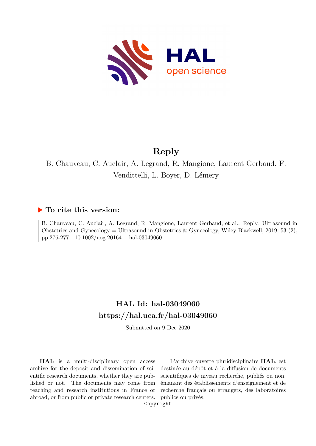

## **Reply**

## B. Chauveau, C. Auclair, A. Legrand, R. Mangione, Laurent Gerbaud, F. Vendittelli, L. Boyer, D. Lémery

### **To cite this version:**

B. Chauveau, C. Auclair, A. Legrand, R. Mangione, Laurent Gerbaud, et al.. Reply. Ultrasound in Obstetrics and Gynecology = Ultrasound in Obstetrics & Gynecology, Wiley-Blackwell, 2019, 53 (2), pp.276-277. 10.1002/uog.20164. hal-03049060

## **HAL Id: hal-03049060 <https://hal.uca.fr/hal-03049060>**

Submitted on 9 Dec 2020

**HAL** is a multi-disciplinary open access archive for the deposit and dissemination of scientific research documents, whether they are published or not. The documents may come from teaching and research institutions in France or abroad, or from public or private research centers.

L'archive ouverte pluridisciplinaire **HAL**, est destinée au dépôt et à la diffusion de documents scientifiques de niveau recherche, publiés ou non, émanant des établissements d'enseignement et de recherche français ou étrangers, des laboratoires publics ou privés.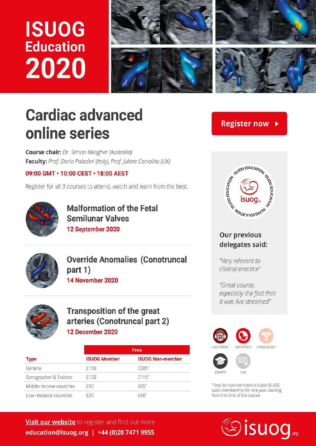# **ISUOG Education** 2020



## **Cardiac advanced** online series

Course chair: Dr. Simon Meagher (Australia) Faculty: Prof. Dario Paladini (Italy), Prof. Julene Carvalho (UK)

## 09:00 GMT · 10:00 CEST · 18:00 AEST

Register for all 3 courses to attend, watch and learn from the best.



**Malformation of the Fetal Semilunar Valves** 12 September 2020



**Override Anomalies (Conotruncal** part 1) 14 November 2020



**Transposition of the great** arteries (Conotruncal part 2) 12 December 2020

| Type                    | Fees                |                         |
|-------------------------|---------------------|-------------------------|
|                         | <b>ISUOG Member</b> | <b>ISUOG Non-member</b> |
| General                 | £150                | $f205*$                 |
| Sonographer & Trainee   | £100                | f115'                   |
| Middle income countries | £50                 | $f65^*$                 |
| Low resource countries  | モフら                 | $f40^*$                 |

Visit our website to register and find out more education@isuog.org | +44 (0)20 7471 9955

#### **Register now**  $\blacktriangleright$



## **Our previous** delegates said:

"Very relevant to clinical practice"

"Great course, especially the fact that it was live streamed"



\*Fees for non-members include ISUOG basic membership for one year, starting from the time of the course.

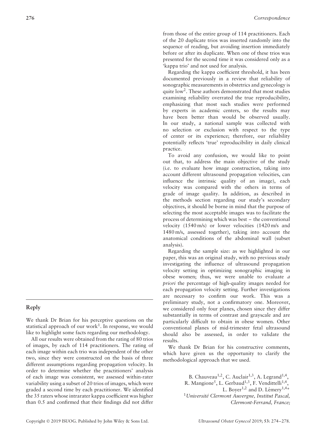from those of the entire group of 114 practitioners. Each of the 20 duplicate trios was inserted randomly into the sequence of reading, but avoiding insertion immediately before or after its duplicate. When one of these trios was presented for the second time it was considered only as a 'kappa trio' and not used for analysis.

Regarding the kappa coefficient threshold, it has been documented previously in a review that reliability of sonographic measurements in obstetrics and gynecology is quite low2. These authors demonstrated that most studies examining reliability overrated the true reproducibility, emphasizing that most such studies were performed by experts in academic centers, so the results may have been better than would be observed usually. In our study, a national sample was collected with no selection or exclusion with respect to the type of center or its experience; therefore, our reliability potentially reflects 'true' reproducibility in daily clinical practice.

To avoid any confusion, we would like to point out that, to address the main objective of the study (i.e. to evaluate how image construction, taking into account different ultrasound propagation velocities, can influence the intrinsic quality of an image), each velocity was compared with the others in terms of grade of image quality. In addition, as described in the methods section regarding our study's secondary objectives, it should be borne in mind that the purpose of selecting the most acceptable images was to facilitate the process of determining which was best – the conventional velocity (1540 m/s) or lower velocities (1420 m/s and 1480 m/s, assessed together), taking into account the anatomical conditions of the abdominal wall (subset analysis).

Regarding the sample size: as we highlighted in our paper, this was an original study, with no previous study investigating the influence of ultrasound propagation velocity setting in optimizing sonographic imaging in obese women; thus, we were unable to evaluate *a priori* the percentage of high-quality images needed for each propagation velocity setting. Further investigations are necessary to confirm our work. This was a preliminary study, not a confirmatory one. Moreover, we considered only four planes, chosen since they differ substantially in terms of contrast and grayscale and are particularly difficult to obtain in obese women. Other conventional planes of mid-trimester fetal ultrasound should also be assessed, in order to validate the results.

We thank Dr Brian for his constructive comments, which have given us the opportunity to clarify the methodological approach that we used.

> B. Chauveau<sup>1,2</sup>, C. Auclair<sup>1,3</sup>, A. Legrand<sup>1,4</sup>, R. Mangione<sup>5</sup>, L. Gerbaud<sup>1,3</sup>, F. Vendittelli<sup>1,4</sup>, L. Boyer<sup>1,2</sup> and D. Lémery<sup>1,4</sup>\* <sup>1</sup>*Universite Clermont Auvergne, Institut Pascal, ´ Clermont-Ferrand, France;*

order to determine whether the practitioners' analysis of each image was consistent, we assessed within-rater variability using a subset of 20 trios of images, which were graded a second time by each practitioner. We identified the 35 raters whose intrarater kappa coefficient was higher than 0.5 and confirmed that their findings did not differ

We thank Dr Brian for his perceptive questions on the statistical approach of our work<sup>1</sup>. In response, we would like to highlight some facts regarding our methodology. All our results were obtained from the rating of 80 trios of images, by each of 114 practitioners. The rating of each image within each trio was independent of the other two, since they were constructed on the basis of three different assumptions regarding propagation velocity. In

**Reply**